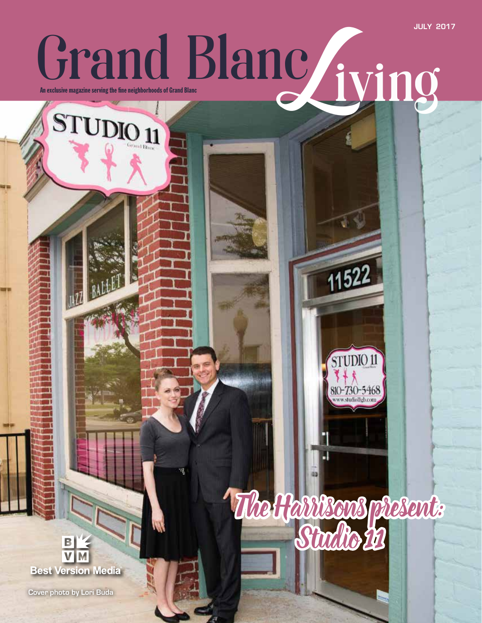**JULY 2017**

## Grand Blanc <sub>iving</sub> the fine neighborhoods of Grand Blanc

The Harrisons present:

11522

STUDIO 11

810-730-5468

**Best Version Media** 

**Cover photo by Lori Buda**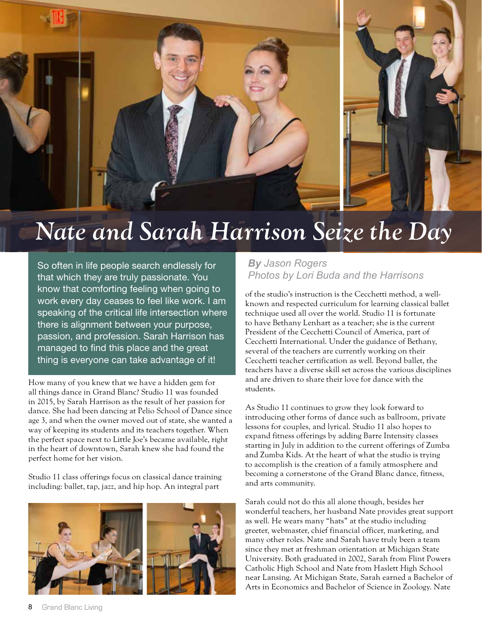

## *Nate and Sarah Harrison Seize the Day*

So often in life people search endlessly for that which they are truly passionate. You know that comforting feeling when going to work every day ceases to feel like work. I am speaking of the critical life intersection where there is alignment between your purpose, passion, and profession. Sarah Harrison has managed to find this place and the great thing is everyone can take advantage of it!

How many of you knew that we have a hidden gem for all things dance in Grand Blanc? Studio 11 was founded in 2015, by Sarah Harrison as the result of her passion for dance. She had been dancing at Pelio School of Dance since age 3, and when the owner moved out of state, she wanted a way of keeping its students and its teachers together. When the perfect space next to Little Joe's became available, right in the heart of downtown, Sarah knew she had found the perfect home for her vision.

Studio 11 class offerings focus on classical dance training including: ballet, tap, jazz, and hip hop. An integral part



## *By Jason Rogers Photos by Lori Buda and the Harrisons*

of the studio's instruction is the Cecchetti method, a wellknown and respected curriculum for learning classical ballet technique used all over the world. Studio 11 is fortunate to have Bethany Lenhart as a teacher; she is the current President of the Cecchetti Council of America, part of Cecchetti International. Under the guidance of Bethany, several of the teachers are currently working on their Cecchetti teacher certification as well. Beyond ballet, the teachers have a diverse skill set across the various disciplines and are driven to share their love for dance with the students.

As Studio 11 continues to grow they look forward to introducing other forms of dance such as ballroom, private lessons for couples, and lyrical. Studio 11 also hopes to expand fitness offerings by adding Barre Intensity classes starting in July in addition to the current offerings of Zumba and Zumba Kids. At the heart of what the studio is trying to accomplish is the creation of a family atmosphere and becoming a cornerstone of the Grand Blanc dance, fitness, and arts community.

Sarah could not do this all alone though, besides her wonderful teachers, her husband Nate provides great support as well. He wears many "hats" at the studio including greeter, webmaster, chief financial officer, marketing, and many other roles. Nate and Sarah have truly been a team since they met at freshman orientation at Michigan State University. Both graduated in 2002, Sarah from Flint Powers Catholic High School and Nate from Haslett High School near Lansing. At Michigan State, Sarah earned a Bachelor of Arts in Economics and Bachelor of Science in Zoology. Nate